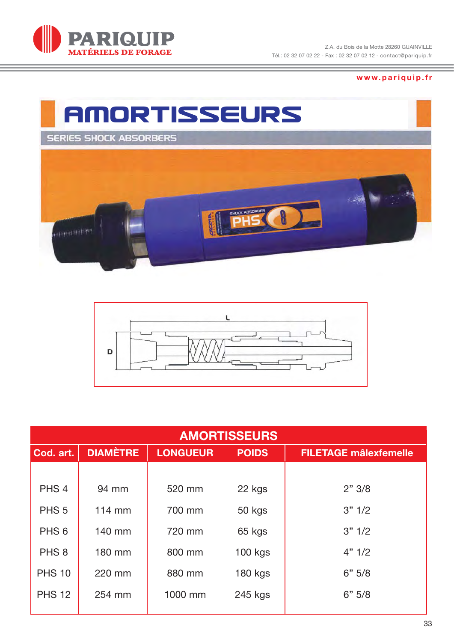

**www.pariquip.fr**





| <b>AMORTISSEURS</b> |                  |                 |                |                              |  |  |
|---------------------|------------------|-----------------|----------------|------------------------------|--|--|
| Cod. art.           | <b>DIAMÈTRE</b>  | <b>LONGUEUR</b> | <b>POIDS</b>   | <b>FILETAGE mâlexfemelle</b> |  |  |
|                     |                  |                 |                |                              |  |  |
| PHS <sub>4</sub>    | 94 mm            | 520 mm          | 22 kgs         | 2" 3/8                       |  |  |
| PHS <sub>5</sub>    | $114 \text{ mm}$ | 700 mm          | 50 kgs         | 3" 1/2                       |  |  |
| PHS <sub>6</sub>    | 140 mm           | 720 mm          | 65 kgs         | 3" 1/2                       |  |  |
| PHS <sub>8</sub>    | 180 mm           | 800 mm          | <b>100 kgs</b> | 4" 1/2                       |  |  |
| <b>PHS 10</b>       | 220 mm           | 880 mm          | <b>180 kgs</b> | 6" 5/8                       |  |  |
| <b>PHS 12</b>       | 254 mm           | 1000 mm         | 245 kgs        | 6" 5/8                       |  |  |